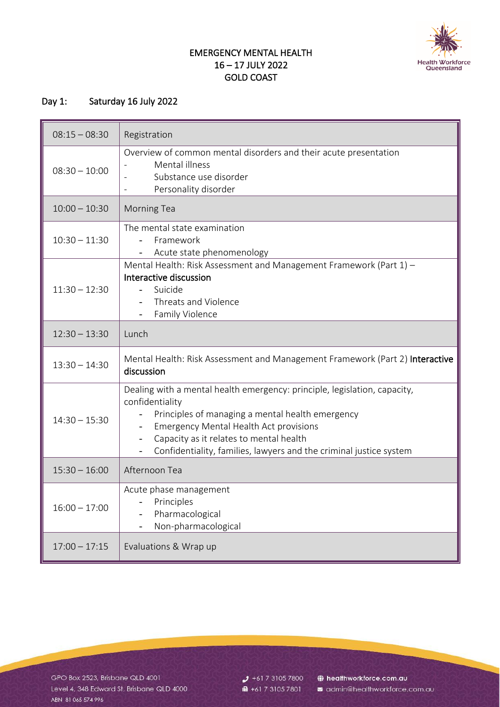

## EMERGENCY MENTAL HEALTH 16 – 17 JULY 2022 GOLD COAST

## Day 1: Saturday 16 July 2022

| $08:15 - 08:30$ | Registration                                                                                                                                                                                                                                                                                                       |
|-----------------|--------------------------------------------------------------------------------------------------------------------------------------------------------------------------------------------------------------------------------------------------------------------------------------------------------------------|
| $08:30 - 10:00$ | Overview of common mental disorders and their acute presentation<br>Mental illness<br>Substance use disorder<br>Personality disorder                                                                                                                                                                               |
| $10:00 - 10:30$ | <b>Morning Tea</b>                                                                                                                                                                                                                                                                                                 |
| $10:30 - 11:30$ | The mental state examination<br>Framework<br>Acute state phenomenology                                                                                                                                                                                                                                             |
| $11:30 - 12:30$ | Mental Health: Risk Assessment and Management Framework (Part 1) -<br>Interactive discussion<br>Suicide<br>Threats and Violence<br>Family Violence<br>$\overline{\phantom{0}}$                                                                                                                                     |
| $12:30 - 13:30$ | Lunch                                                                                                                                                                                                                                                                                                              |
| $13:30 - 14:30$ | Mental Health: Risk Assessment and Management Framework (Part 2) Interactive<br>discussion                                                                                                                                                                                                                         |
| $14:30 - 15:30$ | Dealing with a mental health emergency: principle, legislation, capacity,<br>confidentiality<br>Principles of managing a mental health emergency<br><b>Emergency Mental Health Act provisions</b><br>Capacity as it relates to mental health<br>Confidentiality, families, lawyers and the criminal justice system |
| $15:30 - 16:00$ | Afternoon Tea                                                                                                                                                                                                                                                                                                      |
| $16:00 - 17:00$ | Acute phase management<br>Principles<br>Pharmacological<br>Non-pharmacological                                                                                                                                                                                                                                     |
| $17:00 - 17:15$ | Evaluations & Wrap up                                                                                                                                                                                                                                                                                              |

GPO Box 2523, Brisbane QLD 4001 Level 4, 348 Edward St, Brisbane QLD 4000 ABN 81065574996

 $J$  +61 7 3105 7800 ■ +61 7 3105 7801

healthworkforce.com.au admin@healthworkforce.com.au